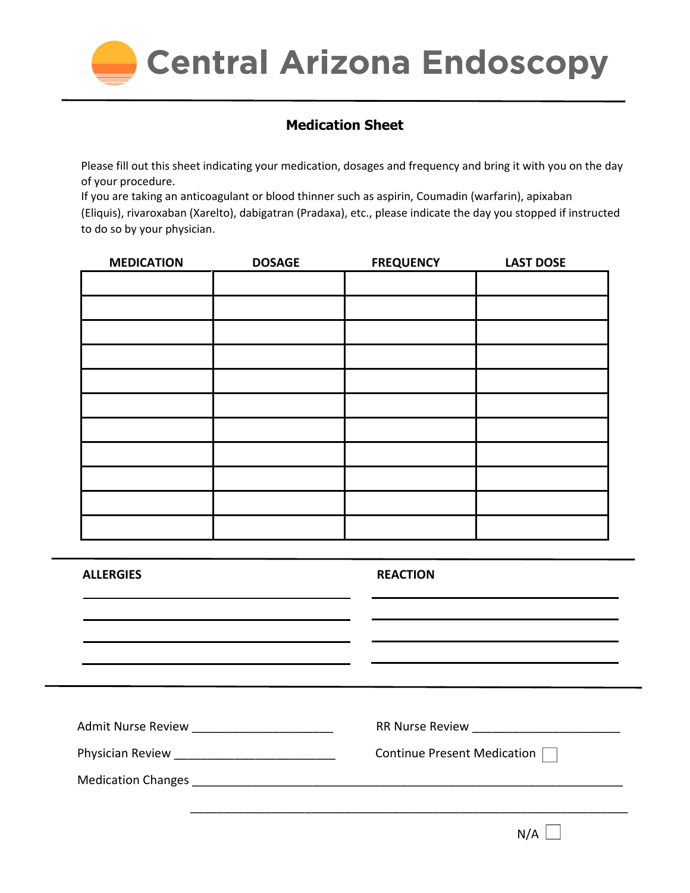

## **Medication Sheet**

Please fill out this sheet indicating your medication, dosages and frequency and bring it with you on the day of your procedure.

If you are taking an anticoagulant or blood thinner such as aspirin, Coumadin (warfarin), apixaban (Eliquis), rivaroxaban (Xarelto), dabigatran (Pradaxa), etc., please indicate the day you stopped if instructed to do so by your physician.

| <b>MEDICATION</b> | <b>DOSAGE</b> | <b>FREQUENCY</b> | <b>LAST DOSE</b> |
|-------------------|---------------|------------------|------------------|
|                   |               |                  |                  |
|                   |               |                  |                  |
|                   |               |                  |                  |
|                   |               |                  |                  |
|                   |               |                  |                  |
|                   |               |                  |                  |
|                   |               |                  |                  |
|                   |               |                  |                  |
|                   |               |                  |                  |
|                   |               |                  |                  |
|                   |               |                  |                  |

| Continue Present Medication |
|-----------------------------|
|                             |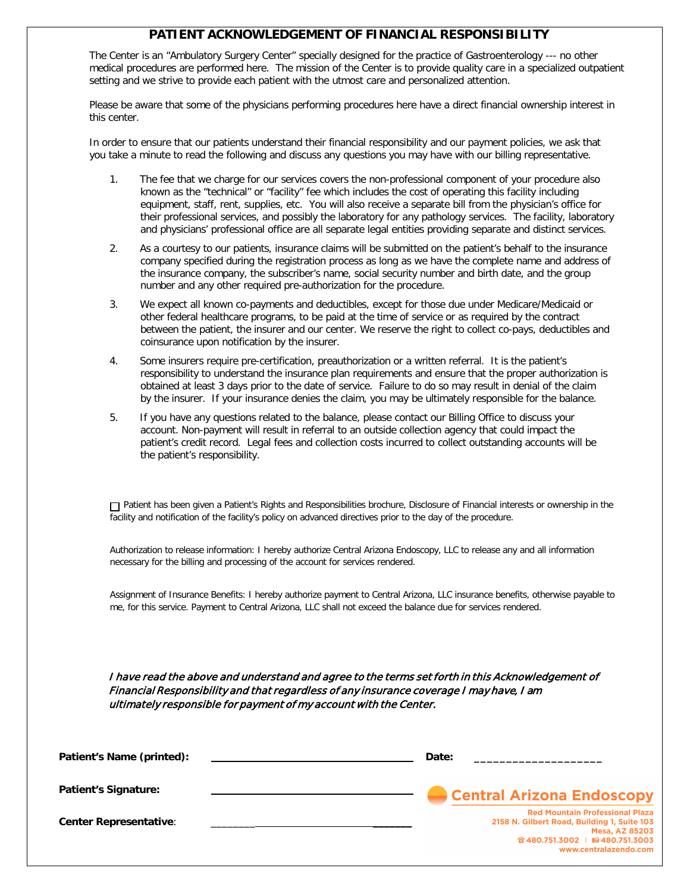### **PATIENT ACKNOWLEDGEMENT OF FINANCIAL RESPONSIBILITY**

The Center is an "Ambulatory Surgery Center" specially designed for the practice of Gastroenterology --- no other medical procedures are performed here. The mission of the Center is to provide quality care in a specialized outpatient setting and we strive to provide each patient with the utmost care and personalized attention.

Please be aware that some of the physicians performing procedures here have a direct financial ownership interest in this center.

In order to ensure that our patients understand their financial responsibility and our payment policies, we ask that you take a minute to read the following and discuss any questions you may have with our billing representative.

- 1. The fee that we charge for our services covers the non-professional component of your procedure also known as the "technical" or "facility" fee which includes the cost of operating this facility including equipment, staff, rent, supplies, etc. You will also receive a separate bill from the physician's office for their professional services, and possibly the laboratory for any pathology services. The facility, laboratory and physicians' professional office are all separate legal entities providing separate and distinct services.
- 2. As a courtesy to our patients, insurance claims will be submitted on the patient's behalf to the insurance company specified during the registration process as long as we have the complete name and address of the insurance company, the subscriber's name, social security number and birth date, and the group number and any other required pre-authorization for the procedure.
- 3. We expect all known co-payments and deductibles, except for those due under Medicare/Medicaid or other federal healthcare programs, to be paid at the time of service or as required by the contract between the patient, the insurer and our center. We reserve the right to collect co-pays, deductibles and coinsurance upon notification by the insurer.
- 4. Some insurers require pre-certification, preauthorization or a written referral. It is the patient's responsibility to understand the insurance plan requirements and ensure that the proper authorization is obtained at least 3 days prior to the date of service. Failure to do so may result in denial of the claim by the insurer. If your insurance denies the claim, you may be ultimately responsible for the balance.
- 5. If you have any questions related to the balance, please contact our Billing Office to discuss your account. Non-payment will result in referral to an outside collection agency that could impact the patient's credit record. Legal fees and collection costs incurred to collect outstanding accounts will be the patient's responsibility.

Patient has been given a Patient's Rights and Responsibilities brochure, Disclosure of Financial interests or ownership in the facility and notification of the facility's policy on advanced directives prior to the day of the procedure.

Authorization to release information: I hereby authorize Central Arizona Endoscopy, LLC to release any and all information necessary for the billing and processing of the account for services rendered.

Assignment of Insurance Benefits: I hereby authorize payment to Central Arizona, LLC insurance benefits, otherwise payable to me, for this service. Payment to Central Arizona, LLC shall not exceed the balance due for services rendered.

I have read the above and understand and agree to the terms set forth in this Acknowledgement of Financial Responsibility and that regardless of any insurance coverage I may have, I am ultimately responsible for payment of my account with the Center.

| Patient's Name (printed):     | Date:                                                                                                                                                                       |
|-------------------------------|-----------------------------------------------------------------------------------------------------------------------------------------------------------------------------|
| <b>Patient's Signature:</b>   | <b>Central Arizona Endoscopy</b>                                                                                                                                            |
| <b>Center Representative:</b> | <b>Red Mountain Professional Plaza</b><br>2158 N. Gilbert Road, Building 1, Suite 103<br><b>Mesa, AZ 85203</b><br>☎ 480.751.3002   1圓 480.751.3003<br>www.centralazendo.com |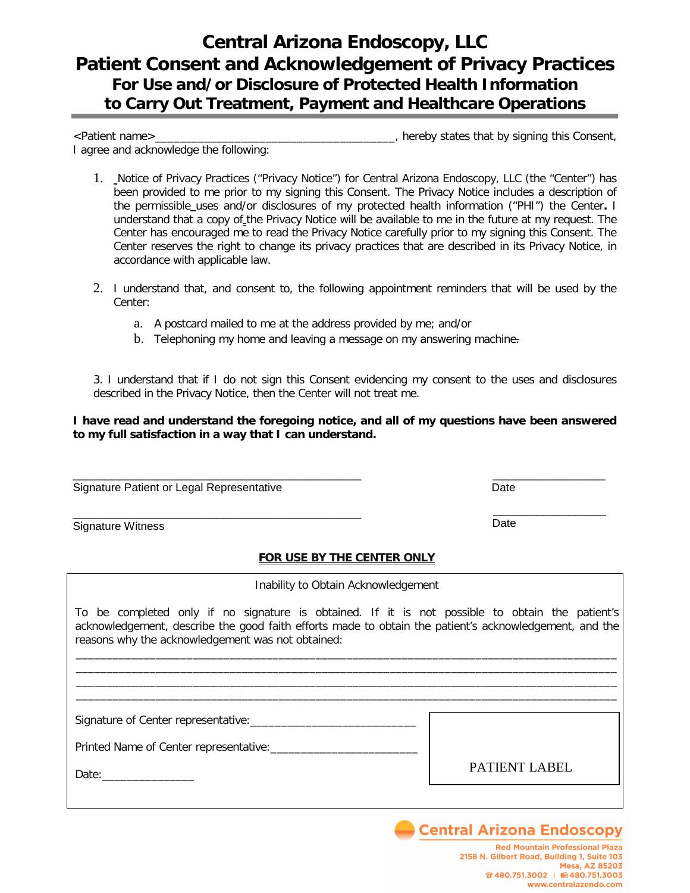# **Central Arizona Endoscopy, LLC Patient Consent and Acknowledgement of Privacy Practices For Use and/or Disclosure of Protected Health Information to Carry Out Treatment, Payment and Healthcare Operations**

<Patient name>\_\_\_\_\_\_\_\_\_\_\_\_\_\_\_\_\_\_\_\_\_\_\_\_\_\_\_\_\_\_\_\_\_\_\_\_\_\_\_, hereby states that by signing this Consent, I agree and acknowledge the following:

- 1. Notice of Privacy Practices ("Privacy Notice") for Central Arizona Endoscopy, LLC (the "Center") has been provided to me prior to my signing this Consent. The Privacy Notice includes a description of the permissible uses and/or disclosures of my protected health information ("PHI") the Center**.** I understand that a copy of the Privacy Notice will be available to me in the future at my request. The Center has encouraged me to read the Privacy Notice carefully prior to my signing this Consent. The Center reserves the right to change its privacy practices that are described in its Privacy Notice, in accordance with applicable law.
- 2. I understand that, and consent to, the following appointment reminders that will be used by the Center:
	- a. A postcard mailed to me at the address provided by me; and/or
	- b. Telephoning my home and leaving a message on my answering machine.

3. I understand that if I do not sign this Consent evidencing my consent to the uses and disclosures described in the Privacy Notice, then the Center will not treat me.

#### **I have read and understand the foregoing notice, and all of my questions have been answered to my full satisfaction in a way that I can understand.**

Signature Patient or Legal Representative **Date** Date

\_\_\_\_\_\_\_\_\_\_\_\_\_\_\_\_\_\_\_\_\_\_\_\_\_\_\_\_\_\_\_\_\_\_\_\_\_\_\_\_\_\_\_\_\_\_ Signature Witness

#### **FOR USE BY THE CENTER ONLY**

Inability to Obtain Acknowledgement

To be completed only if no signature is obtained. If it is not possible to obtain the patient's acknowledgement, describe the good faith efforts made to obtain the patient's acknowledgement, and the reasons why the acknowledgement was not obtained:

\_\_\_\_\_\_\_\_\_\_\_\_\_\_\_\_\_\_\_\_\_\_\_\_\_\_\_\_\_\_\_\_\_\_\_\_\_\_\_\_\_\_\_\_\_\_\_\_\_\_\_\_\_\_\_\_\_\_\_\_\_\_\_\_\_\_\_\_\_\_\_\_\_\_\_\_\_\_\_\_\_\_\_\_\_\_\_\_ \_\_\_\_\_\_\_\_\_\_\_\_\_\_\_\_\_\_\_\_\_\_\_\_\_\_\_\_\_\_\_\_\_\_\_\_\_\_\_\_\_\_\_\_\_\_\_\_\_\_\_\_\_\_\_\_\_\_\_\_\_\_\_\_\_\_\_\_\_\_\_\_\_\_\_\_\_\_\_\_\_\_\_\_\_\_\_\_ \_\_\_\_\_\_\_\_\_\_\_\_\_\_\_\_\_\_\_\_\_\_\_\_\_\_\_\_\_\_\_\_\_\_\_\_\_\_\_\_\_\_\_\_\_\_\_\_\_\_\_\_\_\_\_\_\_\_\_\_\_\_\_\_\_\_\_\_\_\_\_\_\_\_\_\_\_\_\_\_\_\_\_\_\_\_\_\_

Signature of Center representative:\_\_\_\_\_\_\_\_\_\_\_\_\_\_\_\_\_\_\_\_\_\_\_\_\_\_\_

Printed Name of Center representative:

Date:\_\_\_\_\_\_\_\_\_\_\_\_\_\_\_

PATIENT LABEL

**Central Arizona Endoscopy** 

 $\overline{\phantom{a}}$  , which is a set of the set of the set of the set of the set of the set of the set of the set of the set of the set of the set of the set of the set of the set of the set of the set of the set of the set of th Date

\_\_\_\_\_\_\_\_\_\_\_\_\_\_\_\_\_\_\_\_\_\_\_\_\_\_\_\_\_\_\_\_\_\_\_\_\_\_\_\_\_\_\_\_\_\_\_\_\_\_\_\_\_\_\_\_\_\_\_\_\_\_\_\_\_\_\_\_\_\_\_\_\_\_\_\_\_\_\_\_\_\_\_\_\_\_\_\_

\_\_\_\_\_\_\_\_\_\_\_\_\_\_\_\_\_\_\_\_\_\_\_\_\_\_\_\_\_\_\_\_\_\_\_\_\_\_\_\_\_\_\_\_\_\_ \_\_\_\_\_\_\_\_\_\_\_\_\_\_\_\_\_\_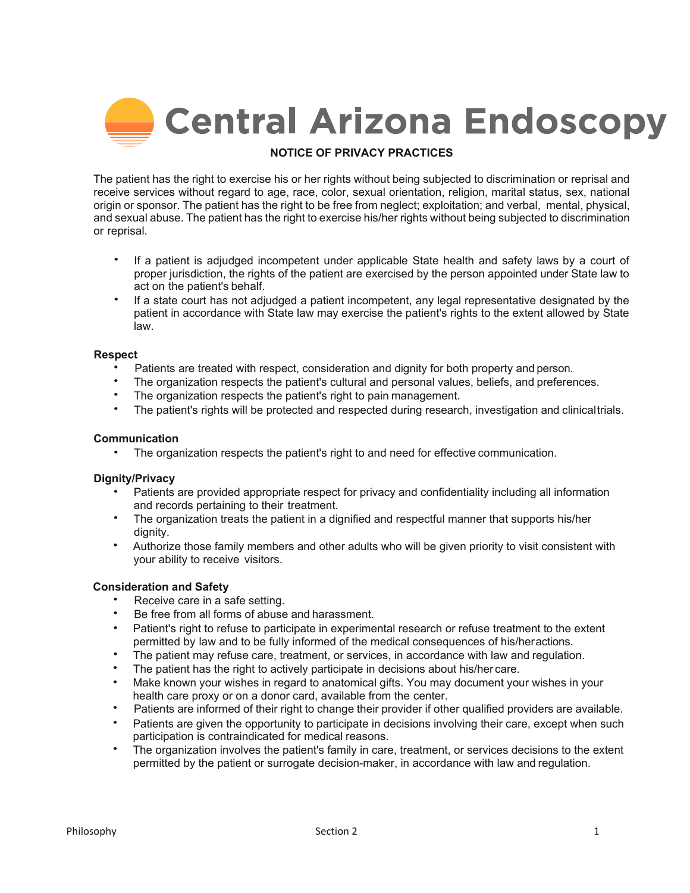

#### **NOTICE OF PRIVACY PRACTICES**

The patient has the right to exercise his or her rights without being subjected to discrimination or reprisal and receive services without regard to age, race, color, sexual orientation, religion, marital status, sex, national origin or sponsor. The patient has the right to be free from neglect; exploitation; and verbal, mental, physical, and sexual abuse. The patient has the right to exercise his/her rights without being subjected to discrimination or reprisal.

- If a patient is adjudged incompetent under applicable State health and safety laws by a court of proper jurisdiction, the rights of the patient are exercised by the person appointed under State law to act on the patient's behalf.
- If a state court has not adjudged a patient incompetent, any legal representative designated by the patient in accordance with State law may exercise the patient's rights to the extent allowed by State law.

#### **Respect**

- Patients are treated with respect, consideration and dignity for both property and person.
- The organization respects the patient's cultural and personal values, beliefs, and preferences.
- The organization respects the patient's right to pain management.
- The patient's rights will be protected and respected during research, investigation and clinicaltrials.

#### **Communication**

• The organization respects the patient's right to and need for effective communication.

#### **Dignity/Privacy**

- Patients are provided appropriate respect for privacy and confidentiality including all information and records pertaining to their treatment.
- The organization treats the patient in a dignified and respectful manner that supports his/her dignity.
- Authorize those family members and other adults who will be given priority to visit consistent with your ability to receive visitors.

#### **Consideration and Safety**

- Receive care in a safe setting.
- Be free from all forms of abuse and harassment.
- Patient's right to refuse to participate in experimental research or refuse treatment to the extent permitted by law and to be fully informed of the medical consequences of his/heractions.
- The patient may refuse care, treatment, or services, in accordance with law and regulation.
- The patient has the right to actively participate in decisions about his/her care.
- Make known your wishes in regard to anatomical gifts. You may document your wishes in your health care proxy or on a donor card, available from the center.
- Patients are informed of their right to change their provider if other qualified providers are available.
- Patients are given the opportunity to participate in decisions involving their care, except when such participation is contraindicated for medical reasons.
- The organization involves the patient's family in care, treatment, or services decisions to the extent permitted by the patient or surrogate decision-maker, in accordance with law and regulation.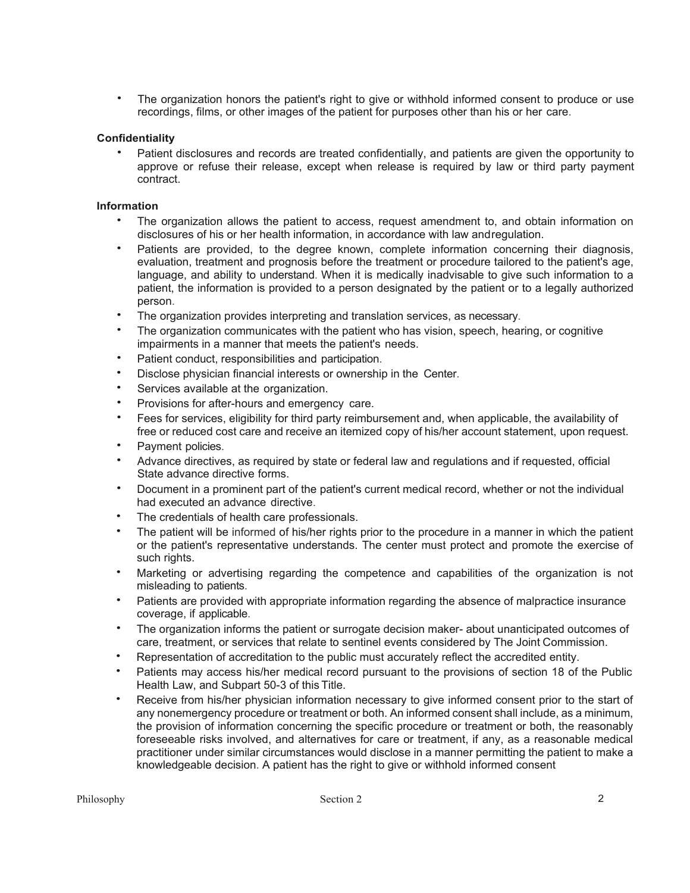The organization honors the patient's right to give or withhold informed consent to produce or use recordings, films, or other images of the patient for purposes other than his or her care.

#### **Confidentiality**

• Patient disclosures and records are treated confidentially, and patients are given the opportunity to approve or refuse their release, except when release is required by law or third party payment contract.

#### **Information**

- The organization allows the patient to access, request amendment to, and obtain information on disclosures of his or her health information, in accordance with law andregulation.
- Patients are provided, to the degree known, complete information concerning their diagnosis, evaluation, treatment and prognosis before the treatment or procedure tailored to the patient's age, language, and ability to understand. When it is medically inadvisable to give such information to a patient, the information is provided to a person designated by the patient or to a legally authorized person.
- The organization provides interpreting and translation services, as necessary.
- The organization communicates with the patient who has vision, speech, hearing, or cognitive impairments in a manner that meets the patient's needs.
- Patient conduct, responsibilities and participation.
- Disclose physician financial interests or ownership in the Center.
- Services available at the organization.
- Provisions for after-hours and emergency care.
- Fees for services, eligibility for third party reimbursement and, when applicable, the availability of free or reduced cost care and receive an itemized copy of his/her account statement, upon request.
- Payment policies.
- Advance directives, as required by state or federal law and regulations and if requested, official State advance directive forms.
- Document in a prominent part of the patient's current medical record, whether or not the individual had executed an advance directive.
- The credentials of health care professionals.
- The patient will be informed of his/her rights prior to the procedure in a manner in which the patient or the patient's representative understands. The center must protect and promote the exercise of such rights.
- Marketing or advertising regarding the competence and capabilities of the organization is not misleading to patients.
- Patients are provided with appropriate information regarding the absence of malpractice insurance coverage, if applicable.
- The organization informs the patient or surrogate decision maker- about unanticipated outcomes of care, treatment, or services that relate to sentinel events considered by The Joint Commission.
- Representation of accreditation to the public must accurately reflect the accredited entity.
- Patients may access his/her medical record pursuant to the provisions of section 18 of the Public Health Law, and Subpart 50-3 of this Title.
- Receive from his/her physician information necessary to give informed consent prior to the start of any nonemergency procedure or treatment or both. An informed consent shall include, as a minimum, the provision of information concerning the specific procedure or treatment or both, the reasonably foreseeable risks involved, and alternatives for care or treatment, if any, as a reasonable medical practitioner under similar circumstances would disclose in a manner permitting the patient to make a knowledgeable decision. A patient has the right to give or withhold informed consent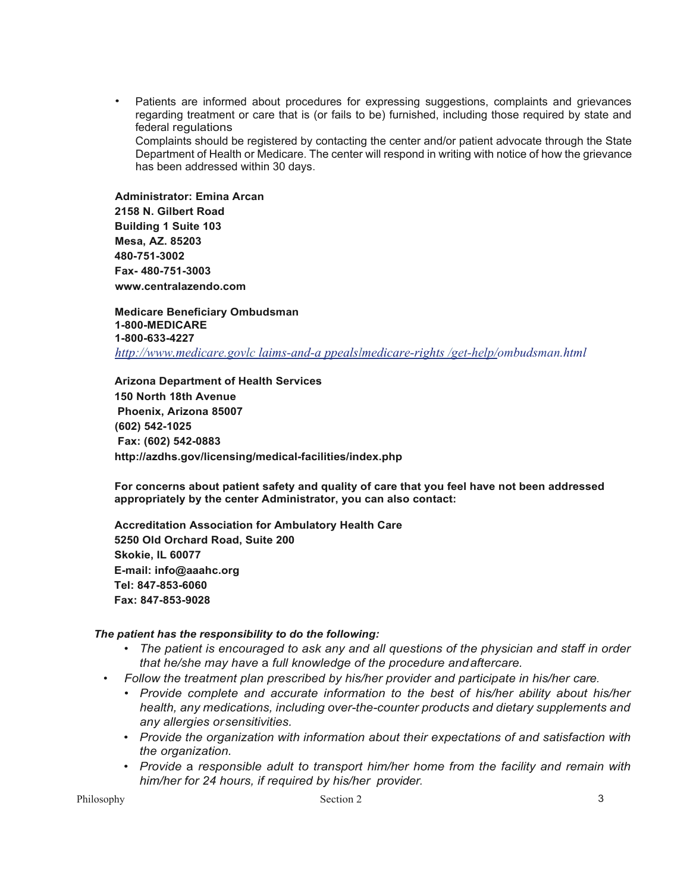• Patients are informed about procedures for expressing suggestions, complaints and grievances regarding treatment or care that is (or fails to be) furnished, including those required by state and federal regulations. Complaints should be registered by contacting the center and/or patient advocate through the State Department of Health or Medicare. The center will respond in writing with notice of how the grievance has been addressed within 30 days.

**Administrator: Emina Arcan 2158 N. Gilbert Road Building 1 Suite 103 Mesa, AZ. 85203 480-751-3002 Fax- 480-751-3003 [www.centralazendo.com](http://www.centralazendo.com/)**

**Medicare Beneficiary Ombudsman 1-800-MEDICARE 1-800-633-4227** *[http://www.medicare.govlc laims-and-a ppealslmedicare-rights /get-help/ombudsman.html](http://www.medicare.govlclaims-and-appealslmedicare-rights/get-help/ombudsman.html)*

**Arizona Department of Health Services 150 North 18th Avenue Phoenix, Arizona 85007 (602) 542-1025 Fax: (602) 542-0883 <http://azdhs.gov/licensing/medical-facilities/index.php>**

**For concerns about patient safety and quality of care that you feel have not been addressed appropriately by the center Administrator, you can also contact:**

**Accreditation Association for Ambulatory Health Care 5250 Old Orchard Road, Suite 200 Skokie, IL 60077 E-mail: [info@aaahc.org](mailto:info@aaahc.org) Tel: 847-853-6060 Fax: 847-853-9028**

#### *The patient has the responsibility to do the following:*

- *The patient is encouraged to ask any and all questions of the physician and staff in order that he/she may have* a *full knowledge of the procedure andaftercare.*
- *Follow the treatment plan prescribed by his/her provider and participate in his/her care.*
	- *Provide complete and accurate information to the best of his/her ability about his/her health, any medications, including over-the-counter products and dietary supplements and any allergies orsensitivities.*
	- *Provide the organization with information about their expectations of and satisfaction with the organization.*
	- *Provide* a *responsible adult to transport him/her home from the facility and remain with him/her for 24 hours, if required by his/her provider.*

Philosophy Section 2 3